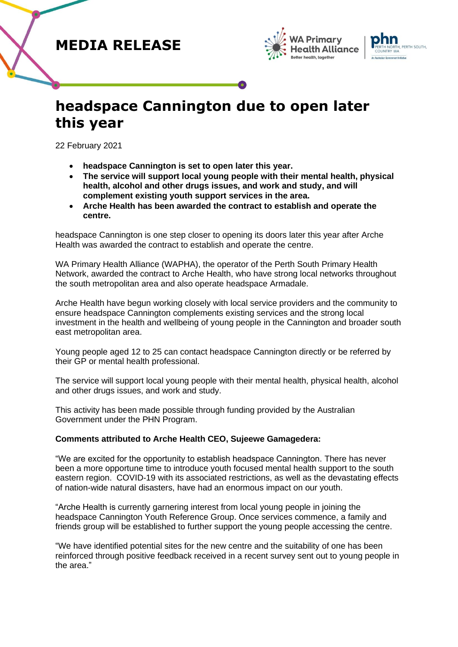# **MEDIA RELEASE**





# **headspace Cannington due to open later this year**

22 February 2021

- **headspace Cannington is set to open later this year.**
- **The service will support local young people with their mental health, physical health, alcohol and other drugs issues, and work and study, and will complement existing youth support services in the area.**
- **Arche Health has been awarded the contract to establish and operate the centre.**

headspace Cannington is one step closer to opening its doors later this year after Arche Health was awarded the contract to establish and operate the centre.

WA Primary Health Alliance (WAPHA), the operator of the Perth South Primary Health Network, awarded the contract to Arche Health, who have strong local networks throughout the south metropolitan area and also operate headspace Armadale.

Arche Health have begun working closely with local service providers and the community to ensure headspace Cannington complements existing services and the strong local investment in the health and wellbeing of young people in the Cannington and broader south east metropolitan area.

Young people aged 12 to 25 can contact headspace Cannington directly or be referred by their GP or mental health professional.

The service will support local young people with their mental health, physical health, alcohol and other drugs issues, and work and study.

This activity has been made possible through funding provided by the Australian Government under the PHN Program.

## **Comments attributed to Arche Health CEO, Sujeewe Gamagedera:**

"We are excited for the opportunity to establish headspace Cannington. There has never been a more opportune time to introduce youth focused mental health support to the south eastern region. COVID-19 with its associated restrictions, as well as the devastating effects of nation-wide natural disasters, have had an enormous impact on our youth.

"Arche Health is currently garnering interest from local young people in joining the headspace Cannington Youth Reference Group. Once services commence, a family and friends group will be established to further support the young people accessing the centre.

"We have identified potential sites for the new centre and the suitability of one has been reinforced through positive feedback received in a recent survey sent out to young people in the area."